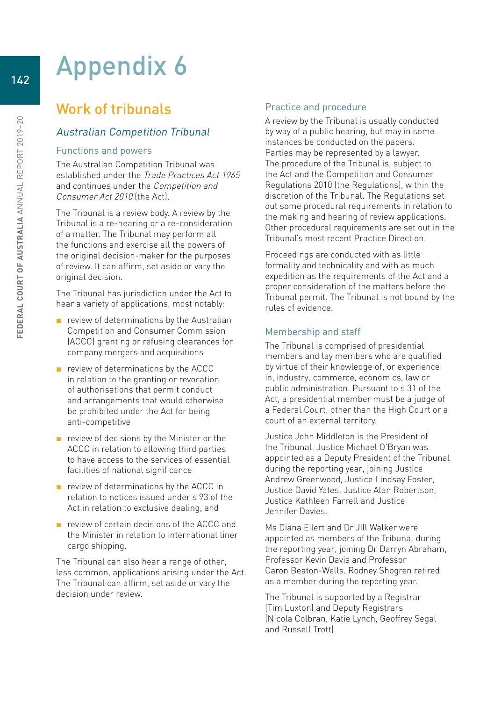# Appendix 6

## Work of tribunals

## Australian Competition Tribunal

#### Functions and powers

The Australian Competition Tribunal was established under the Trade Practices Act 1965 and continues under the Competition and Consumer Act 2010 (the Act).

The Tribunal is a review body. A review by the Tribunal is a re-hearing or a re-consideration of a matter. The Tribunal may perform all the functions and exercise all the powers of the original decision-maker for the purposes of review. It can affirm, set aside or vary the original decision.

The Tribunal has jurisdiction under the Act to hear a variety of applications, most notably:

- review of determinations by the Australian Competition and Consumer Commission (ACCC) granting or refusing clearances for company mergers and acquisitions
- review of determinations by the ACCC in relation to the granting or revocation of authorisations that permit conduct and arrangements that would otherwise be prohibited under the Act for being anti-competitive
- review of decisions by the Minister or the ACCC in relation to allowing third parties to have access to the services of essential facilities of national significance
- review of determinations by the ACCC in relation to notices issued under s 93 of the Act in relation to exclusive dealing, and
- review of certain decisions of the ACCC and the Minister in relation to international liner cargo shipping.

The Tribunal can also hear a range of other, less common, applications arising under the Act. The Tribunal can affirm, set aside or vary the decision under review.

## Practice and procedure

A review by the Tribunal is usually conducted by way of a public hearing, but may in some instances be conducted on the papers. Parties may be represented by a lawyer. The procedure of the Tribunal is, subject to the Act and the Competition and Consumer Regulations 2010 (the Regulations), within the discretion of the Tribunal. The Regulations set out some procedural requirements in relation to the making and hearing of review applications. Other procedural requirements are set out in the Tribunal's most recent Practice Direction.

Proceedings are conducted with as little formality and technicality and with as much expedition as the requirements of the Act and a proper consideration of the matters before the Tribunal permit. The Tribunal is not bound by the rules of evidence.

## Membership and staff

The Tribunal is comprised of presidential members and lay members who are qualified by virtue of their knowledge of, or experience in, industry, commerce, economics, law or public administration. Pursuant to s 31 of the Act, a presidential member must be a judge of a Federal Court, other than the High Court or a court of an external territory.

Justice John Middleton is the President of the Tribunal. Justice Michael O'Bryan was appointed as a Deputy President of the Tribunal during the reporting year, joining Justice Andrew Greenwood, Justice Lindsay Foster, Justice David Yates, Justice Alan Robertson, Justice Kathleen Farrell and Justice Jennifer Davies.

Ms Diana Eilert and Dr Jill Walker were appointed as members of the Tribunal during the reporting year, joining Dr Darryn Abraham, Professor Kevin Davis and Professor Caron Beaton-Wells. Rodney Shogren retired as a member during the reporting year.

The Tribunal is supported by a Registrar (Tim Luxton) and Deputy Registrars (Nicola Colbran, Katie Lynch, Geoffrey Segal and Russell Trott).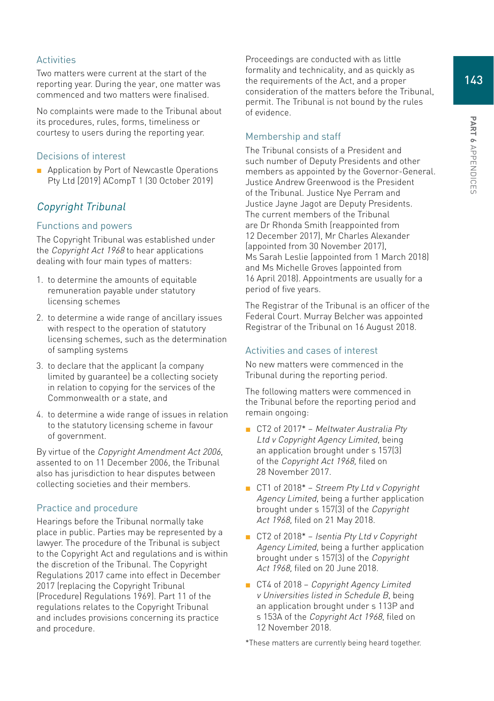143

#### Activities

Two matters were current at the start of the reporting year. During the year, one matter was commenced and two matters were finalised.

No complaints were made to the Tribunal about its procedures, rules, forms, timeliness or courtesy to users during the reporting year.

#### Decisions of interest

■ Application by Port of Newcastle Operations Pty Ltd [2019] ACompT 1 (30 October 2019)

## Copyright Tribunal

#### Functions and powers

The Copyright Tribunal was established under the Copyright Act 1968 to hear applications dealing with four main types of matters:

- 1. to determine the amounts of equitable remuneration payable under statutory licensing schemes
- 2. to determine a wide range of ancillary issues with respect to the operation of statutory licensing schemes, such as the determination of sampling systems
- 3. to declare that the applicant (a company limited by guarantee) be a collecting society in relation to copying for the services of the Commonwealth or a state, and
- 4. to determine a wide range of issues in relation to the statutory licensing scheme in favour of government.

By virtue of the Copyright Amendment Act 2006, assented to on 11 December 2006, the Tribunal also has jurisdiction to hear disputes between collecting societies and their members.

#### Practice and procedure

Hearings before the Tribunal normally take place in public. Parties may be represented by a lawyer. The procedure of the Tribunal is subject to the Copyright Act and regulations and is within the discretion of the Tribunal. The Copyright Regulations 2017 came into effect in December 2017 (replacing the Copyright Tribunal (Procedure) Regulations 1969). Part 11 of the regulations relates to the Copyright Tribunal and includes provisions concerning its practice and procedure.

Proceedings are conducted with as little formality and technicality, and as quickly as the requirements of the Act, and a proper consideration of the matters before the Tribunal, permit. The Tribunal is not bound by the rules of evidence.

## Membership and staff

The Tribunal consists of a President and such number of Deputy Presidents and other members as appointed by the Governor-General. Justice Andrew Greenwood is the President of the Tribunal. Justice Nye Perram and Justice Jayne Jagot are Deputy Presidents. The current members of the Tribunal are Dr Rhonda Smith (reappointed from 12 December 2017), Mr Charles Alexander (appointed from 30 November 2017), Ms Sarah Leslie (appointed from 1 March 2018) and Ms Michelle Groves (appointed from 16 April 2018). Appointments are usually for a period of five years.

The Registrar of the Tribunal is an officer of the Federal Court. Murray Belcher was appointed Registrar of the Tribunal on 16 August 2018.

#### Activities and cases of interest

No new matters were commenced in the Tribunal during the reporting period.

The following matters were commenced in the Tribunal before the reporting period and remain ongoing:

- CT2 of 2017<sup>\*</sup> Meltwater Australia Pty Ltd v Copyright Agency Limited, being an application brought under s 157(3) of the Copyright Act 1968, filed on 28 November 2017.
- CT1 of 2018<sup>\*</sup> Streem Pty Ltd v Copyright Agency Limited, being a further application brought under s 157(3) of the Copyright Act 1968, filed on 21 May 2018.
- CT2 of 2018<sup>\*</sup> *Isentia Pty Ltd v Copyright* Agency Limited, being a further application brought under s 157(3) of the Copyright Act 1968, filed on 20 June 2018.
- CT4 of 2018 Copyright Agency Limited v Universities listed in Schedule B, being an application brought under s 113P and s 153A of the Copyright Act 1968, filed on 12 November 2018.

\*These matters are currently being heard together.